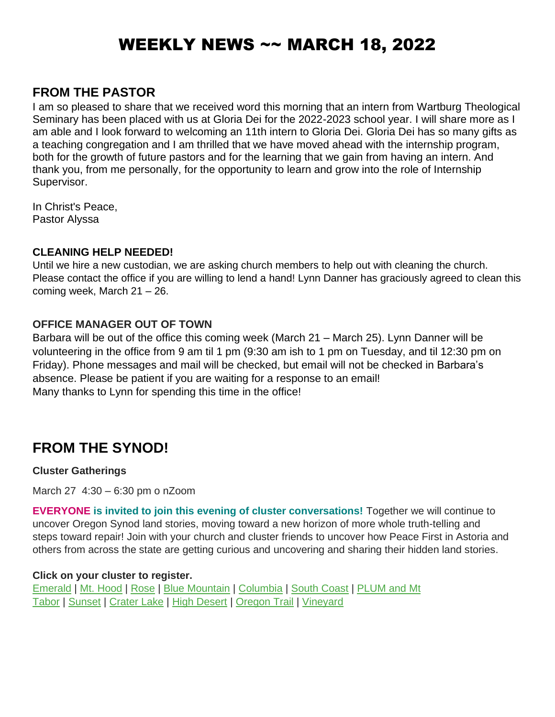# WEEKLY NEWS ~~ MARCH 18, 2022

### **FROM THE PASTOR**

I am so pleased to share that we received word this morning that an intern from Wartburg Theological Seminary has been placed with us at Gloria Dei for the 2022-2023 school year. I will share more as I am able and I look forward to welcoming an 11th intern to Gloria Dei. Gloria Dei has so many gifts as a teaching congregation and I am thrilled that we have moved ahead with the internship program, both for the growth of future pastors and for the learning that we gain from having an intern. And thank you, from me personally, for the opportunity to learn and grow into the role of Internship Supervisor.

In Christ's Peace, Pastor Alyssa

#### **CLEANING HELP NEEDED!**

Until we hire a new custodian, we are asking church members to help out with cleaning the church. Please contact the office if you are willing to lend a hand! Lynn Danner has graciously agreed to clean this coming week, March 21 – 26.

#### **OFFICE MANAGER OUT OF TOWN**

Barbara will be out of the office this coming week (March 21 – March 25). Lynn Danner will be volunteering in the office from 9 am til 1 pm (9:30 am ish to 1 pm on Tuesday, and til 12:30 pm on Friday). Phone messages and mail will be checked, but email will not be checked in Barbara's absence. Please be patient if you are waiting for a response to an email! Many thanks to Lynn for spending this time in the office!

## **FROM THE SYNOD!**

#### **Cluster Gatherings**

March 27 4:30 – 6:30 pm o nZoom

**EVERYONE is invited to join this evening of cluster conversations!** Together we will continue to uncover Oregon Synod land stories, moving toward a new horizon of more whole truth-telling and steps toward repair! Join with your church and cluster friends to uncover how Peace First in Astoria and others from across the state are getting curious and uncovering and sharing their hidden land stories.

#### **Click on your cluster to register.**

[Emerald](https://oregonsynod.us8.list-manage.com/track/click?u=ae3a96d1d43bb3c973f63ae2d&id=4f61240428&e=c55458bf74) | [Mt. Hood](https://oregonsynod.us8.list-manage.com/track/click?u=ae3a96d1d43bb3c973f63ae2d&id=58fd6c7c42&e=c55458bf74) | [Rose](https://oregonsynod.us8.list-manage.com/track/click?u=ae3a96d1d43bb3c973f63ae2d&id=20ce02ae92&e=c55458bf74) | [Blue Mountain](https://oregonsynod.us8.list-manage.com/track/click?u=ae3a96d1d43bb3c973f63ae2d&id=4924869c60&e=c55458bf74) | [Columbia](https://oregonsynod.us8.list-manage.com/track/click?u=ae3a96d1d43bb3c973f63ae2d&id=100ef69e63&e=c55458bf74) | [South Coast](https://oregonsynod.us8.list-manage.com/track/click?u=ae3a96d1d43bb3c973f63ae2d&id=4feeb4e7d0&e=c55458bf74) | [PLUM and Mt](https://oregonsynod.us8.list-manage.com/track/click?u=ae3a96d1d43bb3c973f63ae2d&id=71535ce363&e=c55458bf74)  [Tabor](https://oregonsynod.us8.list-manage.com/track/click?u=ae3a96d1d43bb3c973f63ae2d&id=71535ce363&e=c55458bf74) | [Sunset](https://oregonsynod.us8.list-manage.com/track/click?u=ae3a96d1d43bb3c973f63ae2d&id=bb79c0cb0d&e=c55458bf74) | [Crater Lake](https://oregonsynod.us8.list-manage.com/track/click?u=ae3a96d1d43bb3c973f63ae2d&id=f3fb9b763e&e=c55458bf74) | [High Desert](https://oregonsynod.us8.list-manage.com/track/click?u=ae3a96d1d43bb3c973f63ae2d&id=17b0c84bbd&e=c55458bf74) | [Oregon Trail](https://oregonsynod.us8.list-manage.com/track/click?u=ae3a96d1d43bb3c973f63ae2d&id=65dd6a02ae&e=c55458bf74) | [Vineyard](https://oregonsynod.us8.list-manage.com/track/click?u=ae3a96d1d43bb3c973f63ae2d&id=fa6926afe4&e=c55458bf74)